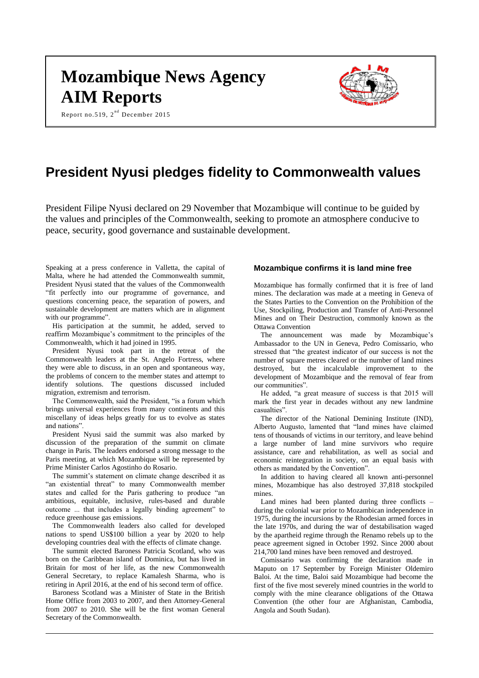# **Mozambique News Agency AIM Reports**

Report no.519,  $2^{nd}$  December 2015



# **President Nyusi pledges fidelity to Commonwealth values**

President Filipe Nyusi declared on 29 November that Mozambique will continue to be guided by the values and principles of the Commonwealth, seeking to promote an atmosphere conducive to peace, security, good governance and sustainable development.

Speaking at a press conference in Valletta, the capital of Malta, where he had attended the Commonwealth summit, President Nyusi stated that the values of the Commonwealth "fit perfectly into our programme of governance, and questions concerning peace, the separation of powers, and sustainable development are matters which are in alignment with our programme".

His participation at the summit, he added, served to reaffirm Mozambique's commitment to the principles of the Commonwealth, which it had joined in 1995.

President Nyusi took part in the retreat of the Commonwealth leaders at the St. Angelo Fortress, where they were able to discuss, in an open and spontaneous way, the problems of concern to the member states and attempt to identify solutions. The questions discussed included migration, extremism and terrorism.

The Commonwealth, said the President, "is a forum which brings universal experiences from many continents and this miscellany of ideas helps greatly for us to evolve as states and nations".

President Nyusi said the summit was also marked by discussion of the preparation of the summit on climate change in Paris. The leaders endorsed a strong message to the Paris meeting, at which Mozambique will be represented by Prime Minister Carlos Agostinho do Rosario.

The summit's statement on climate change described it as "an existential threat" to many Commonwealth member states and called for the Paris gathering to produce "an ambitious, equitable, inclusive, rules-based and durable outcome ... that includes a legally binding agreement" to reduce greenhouse gas emissions.

The Commonwealth leaders also called for developed nations to spend US\$100 billion a year by 2020 to help developing countries deal with the effects of climate change.

The summit elected Baroness Patricia Scotland, who was born on the Caribbean island of Dominica, but has lived in Britain for most of her life, as the new Commonwealth General Secretary, to replace Kamalesh Sharma, who is retiring in April 2016, at the end of his second term of office.

Baroness Scotland was a Minister of State in the British Home Office from 2003 to 2007, and then Attorney-General from 2007 to 2010. She will be the first woman General Secretary of the Commonwealth.

### **Mozambique confirms it is land mine free**

Mozambique has formally confirmed that it is free of land mines. The declaration was made at a meeting in Geneva of the States Parties to the Convention on the Prohibition of the Use, Stockpiling, Production and Transfer of Anti-Personnel Mines and on Their Destruction, commonly known as the Ottawa Convention

The announcement was made by Mozambique's Ambassador to the UN in Geneva, Pedro Comissario, who stressed that "the greatest indicator of our success is not the number of square metres cleared or the number of land mines destroyed, but the incalculable improvement to the development of Mozambique and the removal of fear from our communities".

He added, "a great measure of success is that 2015 will mark the first year in decades without any new landmine casualties".

The director of the National Demining Institute (IND), Alberto Augusto, lamented that "land mines have claimed tens of thousands of victims in our territory, and leave behind a large number of land mine survivors who require assistance, care and rehabilitation, as well as social and economic reintegration in society, on an equal basis with others as mandated by the Convention".

In addition to having cleared all known anti-personnel mines, Mozambique has also destroyed 37,818 stockpiled mines.

Land mines had been planted during three conflicts – during the colonial war prior to Mozambican independence in 1975, during the incursions by the Rhodesian armed forces in the late 1970s, and during the war of destabilisation waged by the apartheid regime through the Renamo rebels up to the peace agreement signed in October 1992. Since 2000 about 214,700 land mines have been removed and destroyed.

Comissario was confirming the declaration made in Maputo on 17 September by Foreign Minister Oldemiro Baloi. At the time, Baloi said Mozambique had become the first of the five most severely mined countries in the world to comply with the mine clearance obligations of the Ottawa Convention (the other four are Afghanistan, Cambodia, Angola and South Sudan).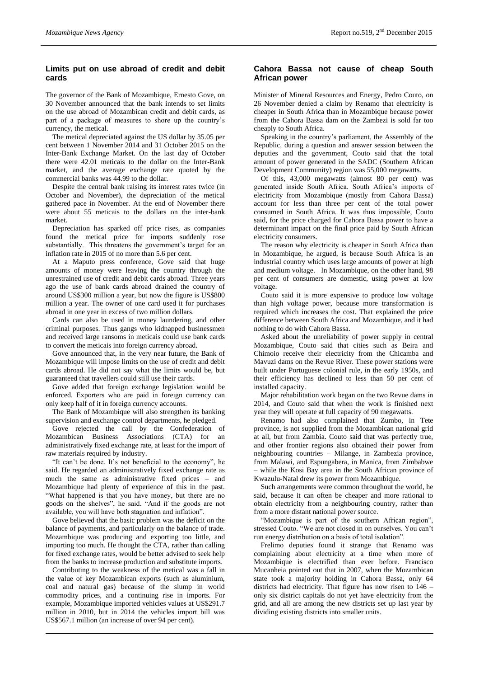# **Limits put on use abroad of credit and debit cards**

The governor of the Bank of Mozambique, Ernesto Gove, on 30 November announced that the bank intends to set limits on the use abroad of Mozambican credit and debit cards, as part of a package of measures to shore up the country's currency, the metical.

The metical depreciated against the US dollar by 35.05 per cent between 1 November 2014 and 31 October 2015 on the Inter-Bank Exchange Market. On the last day of October there were 42.01 meticais to the dollar on the Inter-Bank market, and the average exchange rate quoted by the commercial banks was 44.99 to the dollar.

Despite the central bank raising its interest rates twice (in October and November), the depreciation of the metical gathered pace in November. At the end of November there were about 55 meticais to the dollars on the inter-bank market.

Depreciation has sparked off price rises, as companies found the metical price for imports suddenly rose substantially. This threatens the government's target for an inflation rate in 2015 of no more than 5.6 per cent.

At a Maputo press conference, Gove said that huge amounts of money were leaving the country through the unrestrained use of credit and debit cards abroad. Three years ago the use of bank cards abroad drained the country of around US\$300 million a year, but now the figure is US\$800 million a year. The owner of one card used it for purchases abroad in one year in excess of two million dollars.

Cards can also be used in money laundering, and other criminal purposes. Thus gangs who kidnapped businessmen and received large ransoms in meticais could use bank cards to convert the meticais into foreign currency abroad.

Gove announced that, in the very near future, the Bank of Mozambique will impose limits on the use of credit and debit cards abroad. He did not say what the limits would be, but guaranteed that travellers could still use their cards.

Gove added that foreign exchange legislation would be enforced. Exporters who are paid in foreign currency can only keep half of it in foreign currency accounts.

The Bank of Mozambique will also strengthen its banking supervision and exchange control departments, he pledged.

Gove rejected the call by the Confederation of Mozambican Business Associations (CTA) for an administratively fixed exchange rate, at least for the import of raw materials required by industry.

"It can't be done. It's not beneficial to the economy", he said. He regarded an administratively fixed exchange rate as much the same as administrative fixed prices – and Mozambique had plenty of experience of this in the past. "What happened is that you have money, but there are no goods on the shelves", he said. "And if the goods are not available, you will have both stagnation and inflation".

Gove believed that the basic problem was the deficit on the balance of payments, and particularly on the balance of trade. Mozambique was producing and exporting too little, and importing too much. He thought the CTA, rather than calling for fixed exchange rates, would be better advised to seek help from the banks to increase production and substitute imports.

Contributing to the weakness of the metical was a fall in the value of key Mozambican exports (such as aluminium, coal and natural gas) because of the slump in world commodity prices, and a continuing rise in imports. For example, Mozambique imported vehicles values at US\$291.7 million in 2010, but in 2014 the vehicles import bill was US\$567.1 million (an increase of over 94 per cent).

# **Cahora Bassa not cause of cheap South African power**

Minister of Mineral Resources and Energy, Pedro Couto, on 26 November denied a claim by Renamo that electricity is cheaper in South Africa than in Mozambique because power from the Cahora Bassa dam on the Zambezi is sold far too cheaply to South Africa.

Speaking in the country's parliament, the Assembly of the Republic, during a question and answer session between the deputies and the government, Couto said that the total amount of power generated in the SADC (Southern African Development Community) region was 55,000 megawatts.

Of this, 43,000 megawatts (almost 80 per cent) was generated inside South Africa. South Africa's imports of electricity from Mozambique (mostly from Cahora Bassa) account for less than three per cent of the total power consumed in South Africa. It was thus impossible, Couto said, for the price charged for Cahora Bassa power to have a determinant impact on the final price paid by South African electricity consumers.

The reason why electricity is cheaper in South Africa than in Mozambique, he argued, is because South Africa is an industrial country which uses large amounts of power at high and medium voltage. In Mozambique, on the other hand, 98 per cent of consumers are domestic, using power at low voltage.

Couto said it is more expensive to produce low voltage than high voltage power, because more transformation is required which increases the cost. That explained the price difference between South Africa and Mozambique, and it had nothing to do with Cahora Bassa.

Asked about the unreliability of power supply in central Mozambique, Couto said that cities such as Beira and Chimoio receive their electricity from the Chicamba and Mavuzi dams on the Revue River. These power stations were built under Portuguese colonial rule, in the early 1950s, and their efficiency has declined to less than 50 per cent of installed capacity.

Major rehabilitation work began on the two Revue dams in 2014, and Couto said that when the work is finished next year they will operate at full capacity of 90 megawatts.

Renamo had also complained that Zumbo, in Tete province, is not supplied from the Mozambican national grid at all, but from Zambia. Couto said that was perfectly true, and other frontier regions also obtained their power from neighbouring countries – Milange, in Zambezia province, from Malawi, and Espungabera, in Manica, from Zimbabwe – while the Kosi Bay area in the South African province of Kwazulu-Natal drew its power from Mozambique.

Such arrangements were common throughout the world, he said, because it can often be cheaper and more rational to obtain electricity from a neighbouring country, rather than from a more distant national power source.

"Mozambique is part of the southern African region", stressed Couto. "We are not closed in on ourselves. You can't run energy distribution on a basis of total isolation".

Frelimo deputies found it strange that Renamo was complaining about electricity at a time when more of Mozambique is electrified than ever before. Francisco Mucanheia pointed out that in 2007, when the Mozambican state took a majority holding in Cahora Bassa, only 64 districts had electricity. That figure has now risen to 146 – only six district capitals do not yet have electricity from the grid, and all are among the new districts set up last year by dividing existing districts into smaller units.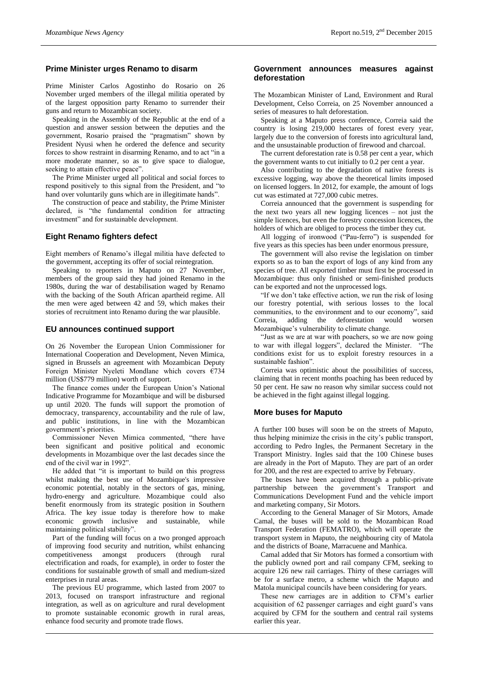#### **Prime Minister urges Renamo to disarm**

Prime Minister Carlos Agostinho do Rosario on 26 November urged members of the illegal militia operated by of the largest opposition party Renamo to surrender their guns and return to Mozambican society.

Speaking in the Assembly of the Republic at the end of a question and answer session between the deputies and the government, Rosario praised the "pragmatism" shown by President Nyusi when he ordered the defence and security forces to show restraint in disarming Renamo, and to act "in a more moderate manner, so as to give space to dialogue, seeking to attain effective peace".

The Prime Minister urged all political and social forces to respond positively to this signal from the President, and "to hand over voluntarily guns which are in illegitimate hands".

The construction of peace and stability, the Prime Minister declared, is "the fundamental condition for attracting investment" and for sustainable development.

#### **Eight Renamo fighters defect**

Eight members of Renamo's illegal militia have defected to the government, accepting its offer of social reintegration.

Speaking to reporters in Maputo on 27 November, members of the group said they had joined Renamo in the 1980s, during the war of destabilisation waged by Renamo with the backing of the South African apartheid regime. All the men were aged between 42 and 59, which makes their stories of recruitment into Renamo during the war plausible.

#### **EU announces continued support**

On 26 November the European Union Commissioner for International Cooperation and Development, Neven Mimica, signed in Brussels an agreement with Mozambican Deputy Foreign Minister Nyeleti Mondlane which covers €734 million (US\$779 million) worth of support.

The finance comes under the European Union's National Indicative Programme for Mozambique and will be disbursed up until 2020. The funds will support the promotion of democracy, transparency, accountability and the rule of law, and public institutions, in line with the Mozambican government's priorities.

Commissioner Neven Mimica commented, "there have been significant and positive political and economic developments in Mozambique over the last decades since the end of the civil war in 1992".

He added that "it is important to build on this progress whilst making the best use of Mozambique's impressive economic potential, notably in the sectors of gas, mining, hydro-energy and agriculture. Mozambique could also benefit enormously from its strategic position in Southern Africa. The key issue today is therefore how to make economic growth inclusive and sustainable, while maintaining political stability".

Part of the funding will focus on a two pronged approach of improving food security and nutrition, whilst enhancing competitiveness amongst producers (through rural electrification and roads, for example), in order to foster the conditions for sustainable growth of small and medium-sized enterprises in rural areas.

The previous EU programme, which lasted from 2007 to 2013, focused on transport infrastructure and regional integration, as well as on agriculture and rural development to promote sustainable economic growth in rural areas, enhance food security and promote trade flows.

#### **Government announces measures against deforestation**

The Mozambican Minister of Land, Environment and Rural Development, Celso Correia, on 25 November announced a series of measures to halt deforestation.

Speaking at a Maputo press conference, Correia said the country is losing 219,000 hectares of forest every year, largely due to the conversion of forests into agricultural land, and the unsustainable production of firewood and charcoal.

The current deforestation rate is 0.58 per cent a year, which the government wants to cut initially to 0.2 per cent a year.

Also contributing to the degradation of native forests is excessive logging, way above the theoretical limits imposed on licensed loggers. In 2012, for example, the amount of logs cut was estimated at 727,000 cubic metres.

Correia announced that the government is suspending for the next two years all new logging licences – not just the simple licences, but even the forestry concession licences, the holders of which are obliged to process the timber they cut.

All logging of ironwood ("Pau-ferro") is suspended for five years as this species has been under enormous pressure,

The government will also revise the legislation on timber exports so as to ban the export of logs of any kind from any species of tree. All exported timber must first be processed in Mozambique: thus only finished or semi-finished products can be exported and not the unprocessed logs.

"If we don't take effective action, we run the risk of losing our forestry potential, with serious losses to the local communities, to the environment and to our economy", said Correia, adding the deforestation would worsen Mozambique's vulnerability to climate change.

"Just as we are at war with poachers, so we are now going to war with illegal loggers", declared the Minister. "The conditions exist for us to exploit forestry resources in a sustainable fashion".

Correia was optimistic about the possibilities of success, claiming that in recent months poaching has been reduced by 50 per cent. He saw no reason why similar success could not be achieved in the fight against illegal logging.

#### **More buses for Maputo**

A further 100 buses will soon be on the streets of Maputo, thus helping minimize the crisis in the city's public transport, according to Pedro Ingles, the Permanent Secretary in the Transport Ministry. Ingles said that the 100 Chinese buses are already in the Port of Maputo. They are part of an order for 200, and the rest are expected to arrive by February.

The buses have been acquired through a public-private partnership between the government's Transport and Communications Development Fund and the vehicle import and marketing company, Sir Motors.

According to the General Manager of Sir Motors, Amade Camal, the buses will be sold to the Mozambican Road Transport Federation (FEMATRO), which will operate the transport system in Maputo, the neighbouring city of Matola and the districts of Boane, Marracuene and Manhica.

Camal added that Sir Motors has formed a consortium with the publicly owned port and rail company CFM, seeking to acquire 126 new rail carriages. Thirty of these carriages will be for a surface metro, a scheme which the Maputo and Matola municipal councils have been considering for years.

These new carriages are in addition to CFM's earlier acquisition of 62 passenger carriages and eight guard's vans acquired by CFM for the southern and central rail systems earlier this year.